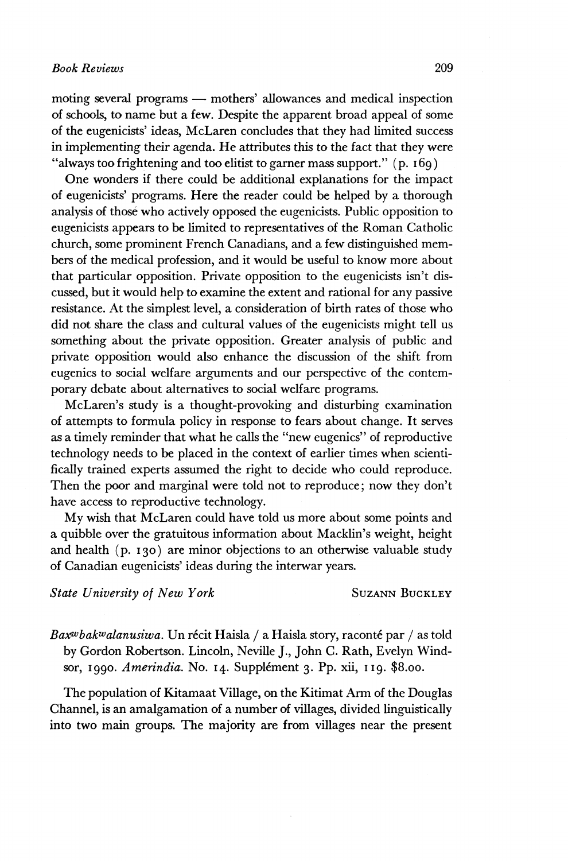moting several programs — mothers' allowances and medical inspection of schools, to name but a few. Despite the apparent broad appeal of some of the eugenicists' ideas, McLaren concludes that they had limited success in implementing their agenda. He attributes this to the fact that they were "always too frightening and too elitist to garner mass support."  $(p. 16q)$ 

One wonders if there could be additional explanations for the impact of eugenicists' programs. Here the reader could be helped by a thorough analysis of those who actively opposed the eugenicists. Public opposition to eugenicists appears to be limited to representatives of the Roman Catholic church, some prominent French Canadians, and a few distinguished members of the medical profession, and it would be useful to know more about that particular opposition. Private opposition to the eugenicists isn't discussed, but it would help to examine the extent and rational for any passive resistance. At the simplest level, a consideration of birth rates of those who did not share the class and cultural values of the eugenicists might tell us something about the private opposition. Greater analysis of public and private opposition would also enhance the discussion of the shift from eugenics to social welfare arguments and our perspective of the contemporary debate about alternatives to social welfare programs.

McLaren's study is a thought-provoking and disturbing examination of attempts to formula policy in response to fears about change. It serves as a timely reminder that what he calls the "new eugenics" of reproductive technology needs to be placed in the context of earlier times when scientifically trained experts assumed the right to decide who could reproduce. Then the poor and marginal were told not to reproduce; now they don't have access to reproductive technology.

My wish that McLaren could have told us more about some points and a quibble over the gratuitous information about Macklin's weight, height and health (p. 130) are minor objections to an otherwise valuable study of Canadian eugenicists' ideas during the interwar years.

**State University of New York** SUZANN BUCKLEY

*Bart<sup>w</sup> bak<sup>w</sup> alanusiwa.* Un récit Haisla / a Haisla story, raconté par / as told by Gordon Robertson. Lincoln, Neville J., John C. Rath, Evelyn Windsor, 1990. *Amerindia.* No. 14. Supplément 3. Pp. xii, 119. \$8.00.

The population of Kitamaat Village, on the Kitimat Arm of the Douglas Channel, is an amalgamation of a number of villages, divided linguistically into two main groups. The majority are from villages near the present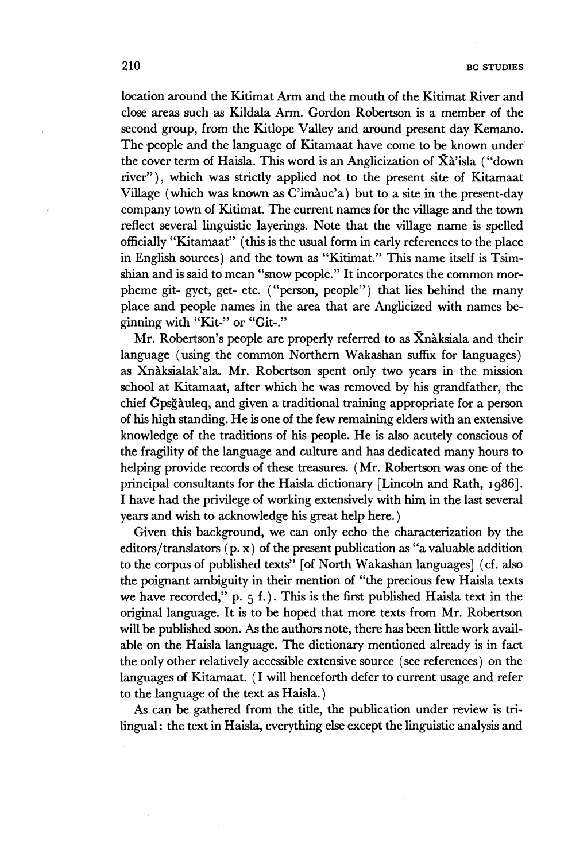**location around the Kitimat Arm and the mouth of the Kitimat River and close areas such as Kildala Arm. Gordon Robertson is a member of the second group, from the Kitlope Valley and around present day Kemano. The people and the language of Kitamaat have come to be known under the cover term of Haisla. This word is an Anglicization of Xà'isla ("down river"), which was strictly applied not to the present site of Kitamaat Village (which was known as C'imàuc'a) but to a site in the present-day company town of Kitimat. The current names for the village and the town reflect several linguistic layerings. Note that the village name is spelled officially "Kitamaat" (this is the usual form in early references to the place in English sources) and the town as "Kitimat." This name itself is Tsimshian and is said to mean "snow people." It incorporates the common morpheme git- gyet, get- etc. ("person, people") that lies behind the many place and people names in the area that are Anglicized with names beginning with "Kit-" or "Git-."** 

**Mr. Robertson's people are properly referred to as Xnàksiala and their language (using the common Northern Wakashan suffix for languages) as Xnàksialak'ala. Mr. Robertson spent only two years in the mission school at Kitamaat, after which he was removed by his grandfather, the chief Gpsgàuleq, and given a traditional training appropriate for a person of his high standing. He is one of the few remaining elders with an extensive knowledge of the traditions of his people. He is also acutely conscious of the fragility of the language and culture and has dedicated many hours to helping provide records of these treasures. (Mr. Robertson was one of the principal consultants for the Haisla dictionary [Lincoln and Rath, 1986]. I have had the privilege of working extensively with him in the last several years and wish to acknowledge his great help here.)** 

**Given this background, we can only echo the characterization by the editors/translators (p. x) of the present publication as "a valuable addition to the corpus of published texts" [of North Wakashan languages] (cf. also the poignant ambiguity in their mention of "the precious few Haisla texts we have recorded," p. 5 f.). This is the first published Haisla text in the original language. It is to be hoped that more texts from Mr. Robertson will be published soon. As the authors note, there has been little work available on the Haisla language. The dictionary mentioned already is in fact the only other relatively accessible extensive source (see references) on the languages of Kitamaat. ( I will henceforth defer to current usage and refer to the language of the text as Haisla. )** 

**As can be gathered from the title, the publication under review is trilingual : the text in Haisla, everything else except the linguistic analysis and**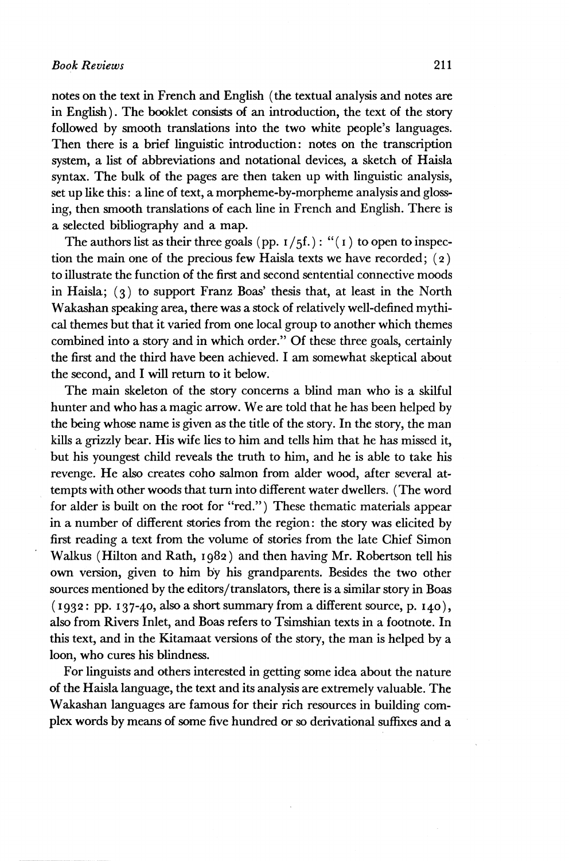notes on the text in French and English (the textual analysis and notes are in English). The booklet consists of an introduction, the text of the story followed by smooth translations into the two white people's languages. Then there is a brief linguistic introduction: notes on the transcription system, a list of abbreviations and notational devices, a sketch of Haisla syntax. The bulk of the pages are then taken up with linguistic analysis, set up like this : a line of text, a morpheme-by-morpheme analysis and glossing, then smooth translations of each line in French and English. There is a selected bibliography and a map.

The authors list as their three goals (pp.  $I/5f$ .): "(1) to open to inspection the main one of the precious few Haisla texts we have recorded;  $(2)$ to illustrate the function of the first and second sentential connective moods in Haisla; (3) to support Franz Boas' thesis that, at least in the North Wakashan speaking area, there was a stock of relatively well-defined mythical themes but that it varied from one local group to another which themes combined into a story and in which order." Of these three goals, certainly the first and the third have been achieved. I am somewhat skeptical about the second, and I will return to it below.

The main skeleton of the story concerns a blind man who is a skilful hunter and who has a magic arrow. We are told that he has been helped by the being whose name is given as the title of the story. In the story, the man kills a grizzly bear. His wife lies to him and tells him that he has missed it, but his youngest child reveals the truth to him, and he is able to take his revenge. He also creates coho salmon from alder wood, after several attempts with other woods that turn into different water dwellers. (The word for alder is built on the root for "red.") These thematic materials appear in a number of different stories from the region : the story was elicited by first reading a text from the volume of stories from the late Chief Simon Walkus (Hilton and Rath, 1982) and then having Mr. Robertson tell his own version, given to him by his grandparents. Besides the two other sources mentioned by the editors/translators, there is a similar story in Boas  $(1932: pp. 137-40, also a short summary from a different source, p. 140),$ also from Rivers Inlet, and Boas refers to Tsimshian texts in a footnote. In this text, and in the Kitamaat versions of the story, the man is helped by a loon, who cures his blindness.

For linguists and others interested in getting some idea about the nature of the Haisla language, the text and its analysis are extremely valuable. The Wakashan languages are famous for their rich resources in building complex words by means of some five hundred or so derivational suffixes and a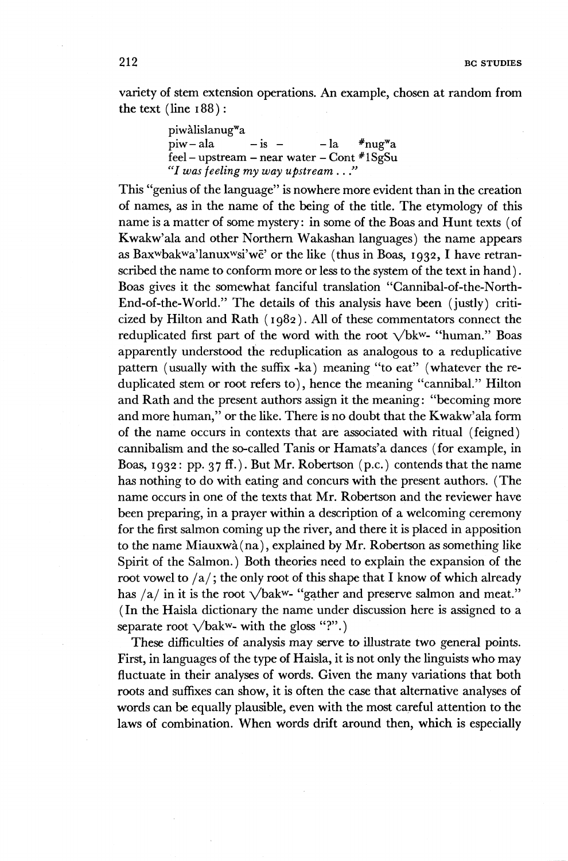variety of stem extension operations. An example, chosen at random from the text  $(\text{line } 188)$ :

> piwàlislanug<sup>w</sup>a  $piw - ala$   $- is - l_a$ nug<sup>w</sup> a .<br>feel – upstream – near water – Cont #1SgSu *"I was feeling my way upstream* . . *."*

This "genius of the language" is nowhere more evident than in the creation of names, as in the name of the being of the title. The etymology of this name is a matter of some mystery: in some of the Boas and Hunt texts (of Kwakw'ala and other Northern Wakashan languages) the name appears as Bax<sup>w</sup> bak<sup>w</sup> a'lanux<sup>w</sup> si'wë' or the like (thus in Boas, 1932, I have retranscribed the name to conform more or less to the system of the text in hand ). Boas gives it the somewhat fanciful translation "Cannibal-of-the-North-End-of-the-World." The details of this analysis have been (justly) criticized by Hilton and Rath ( 1982). All of these commentators connect the reduplicated first part of the word with the root  $\sqrt{b}k^w$ - "human." Boas apparently understood the reduplication as analogous to a reduplicative pattern (usually with the suffix -ka) meaning "to eat" (whatever the reduplicated stem or root refers to), hence the meaning "cannibal." Hilton and Rath and the present authors assign it the meaning: "becoming more and more human," or the like. There is no doubt that the Kwakw'ala form of the name occurs in contexts that are associated with ritual (feigned) cannibalism and the so-called Tanis or Hamats'a dances (for example, in Boas, 1932: pp. 37 ff.). But Mr. Robertson (p.c.) contends that the name has nothing to do with eating and concurs with the present authors. (The name occurs in one of the texts that Mr. Robertson and the reviewer have been preparing, in a prayer within a description of a welcoming ceremony for the first salmon coming up the river, and there it is placed in apposition to the name Miauxwà(na), explained by Mr. Robertson as something like Spirit of the Salmon.) Both theories need to explain the expansion of the root vowel to  $/a$ ; the only root of this shape that I know of which already has  $/a$  in it is the root  $\sqrt{b}$ akw- "gather and preserve salmon and meat." ( In the Haisla dictionary the name under discussion here is assigned to a separate root  $\sqrt{\text{bakw}}$ - with the gloss "?".)

These difficulties of analysis may serve to illustrate two general points. First, in languages of the type of Haisla, it is not only the linguists who may fluctuate in their analyses of words. Given the many variations that both roots and suffixes can show, it is often the case that alternative analyses of words can be equally plausible, even with the most careful attention to the laws of combination. When words drift around then, which is especially